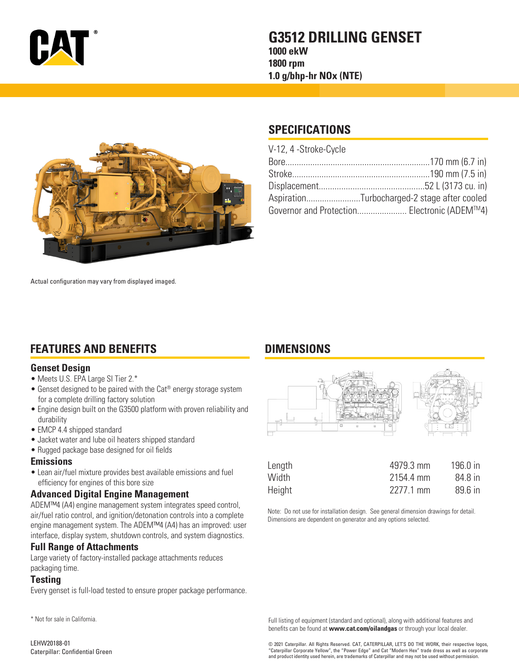

## **G3512 DRILLING GENSET 1000 ekW 1800 rpm 1.0 g/bhp-hr NOx (NTE)**



# **SPECIFICATIONS**

**DIMENSIONS**

| V-12, 4 -Stroke-Cycle                       |  |
|---------------------------------------------|--|
|                                             |  |
|                                             |  |
|                                             |  |
| AspirationTurbocharged-2 stage after cooled |  |
| Governor and Protection Electronic (ADEM™4) |  |

Actual configuration may vary from displayed imaged.

# **FEATURES AND BENEFITS**

### **Genset Design**

- Meets U.S. EPA Large SI Tier 2.\*
- Genset designed to be paired with the Cat® energy storage system for a complete drilling factory solution
- Engine design built on the G3500 platform with proven reliability and durability
- EMCP 4.4 shipped standard
- Jacket water and lube oil heaters shipped standard
- Rugged package base designed for oil fields

#### **Emissions**

• Lean air/fuel mixture provides best available emissions and fuel efficiency for engines of this bore size

## **Advanced Digital Engine Management**

ADEM™4 (A4) engine management system integrates speed control, air/fuel ratio control, and ignition/detonation controls into a complete engine management system. The ADEM™4 (A4) has an improved: user interface, display system, shutdown controls, and system diagnostics.

## **Full Range of Attachments**

Large variety of factory-installed package attachments reduces packaging time.

## **Testing**

Every genset is full-load tested to ensure proper package performance.

\* Not for sale in California.



| Length | 4979.3 mm | 196.0 in |
|--------|-----------|----------|
| Width  | 2154.4 mm | 84.8 in  |
| Height | 2277.1 mm | 89.6 in  |

Note: Do not use for installation design. See general dimension drawings for detail. Dimensions are dependent on generator and any options selected.

Full listing of equipment (standard and optional), along with additional features and benefits can be found at **www.cat.com/oilandgas** or through your local dealer.

© 2021 Caterpillar. All Rights Reserved. CAT, CATERPILLAR, LET'S DO THE WORK, their respective logos, "Caterpillar Corporate Yellow", the "Power Edge" and Cat "Modern Hex" trade dress as well as corporate and product identity used herein, are trademarks of Caterpillar and may not be used without permission.

LEHW20188-01 Caterpillar: Confidential Green